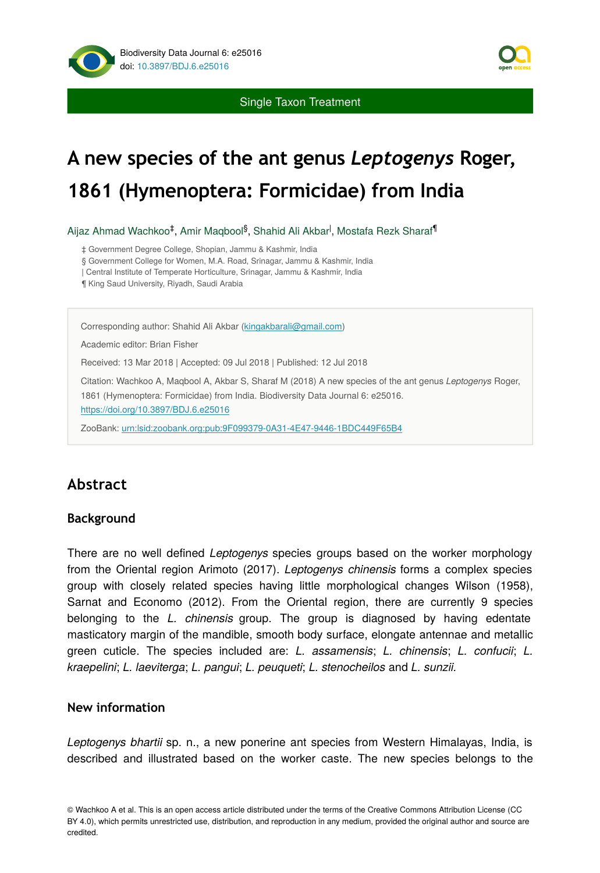Single Taxon Treatment

# **A new species of the ant genus** *Leptogenys* **Roger, 1861 (Hymenoptera: Formicidae) from India**

Aijaz Ahmad Wachkoo<sup>‡</sup>, Amir Maqbool<sup>§</sup>, Shahid Ali Akbar<sup>l</sup>, Mostafa Rezk Sharaf<sup>¶</sup>

‡ Government Degree College, Shopian, Jammu & Kashmir, India

§ Government College for Women, M.A. Road, Srinagar, Jammu & Kashmir, India

| Central Institute of Temperate Horticulture, Srinagar, Jammu & Kashmir, India

¶ King Saud University, Riyadh, Saudi Arabia

Corresponding author: Shahid Ali Akbar [\(kingakbarali@gmail.com](mailto:kingakbarali@gmail.com))

Academic editor: Brian Fisher

Received: 13 Mar 2018 | Accepted: 09 Jul 2018 | Published: 12 Jul 2018

Citation: Wachkoo A, Maqbool A, Akbar S, Sharaf M (2018) A new species of the ant genus *Leptogenys* Roger, 1861 (Hymenoptera: Formicidae) from India. Biodiversity Data Journal 6: e25016. <https://doi.org/10.3897/BDJ.6.e25016>

ZooBank: [urn:lsid:zoobank.org:pub:9F099379-0A31-4E47-9446-1BDC449F65B4](http://zoobank.org/9F099379-0A31-4E47-9446-1BDC449F65B4)

# **Abstract**

### **Background**

There are no well defined *Leptogenys* species groups based on the worker morphology from the Oriental region Arimoto (2017). *Leptogenys chinensis* forms a complex species group with closely related species having little morphological changes Wilson (1958), Sarnat and Economo (2012). From the Oriental region, there are currently 9 species belonging to the *L. chinensis* group. The group is diagnosed by having edentate masticatory margin of the mandible, smooth body surface, elongate antennae and metallic green cuticle. The species included are: *L. assamensis*; *L. chinensis*; *L. confucii*; *L. kraepelini*; *L. laeviterga*; *L. pangui*; *L. peuqueti*; *L. stenocheilos* and *L. sunzii.*

### **New information**

*Leptogenys bhartii* sp. n., a new ponerine ant species from Western Himalayas, India, is described and illustrated based on the worker caste. The new species belongs to the

© Wachkoo A et al. This is an open access article distributed under the terms of the Creative Commons Attribution License (CC BY 4.0), which permits unrestricted use, distribution, and reproduction in any medium, provided the original author and source are credited.

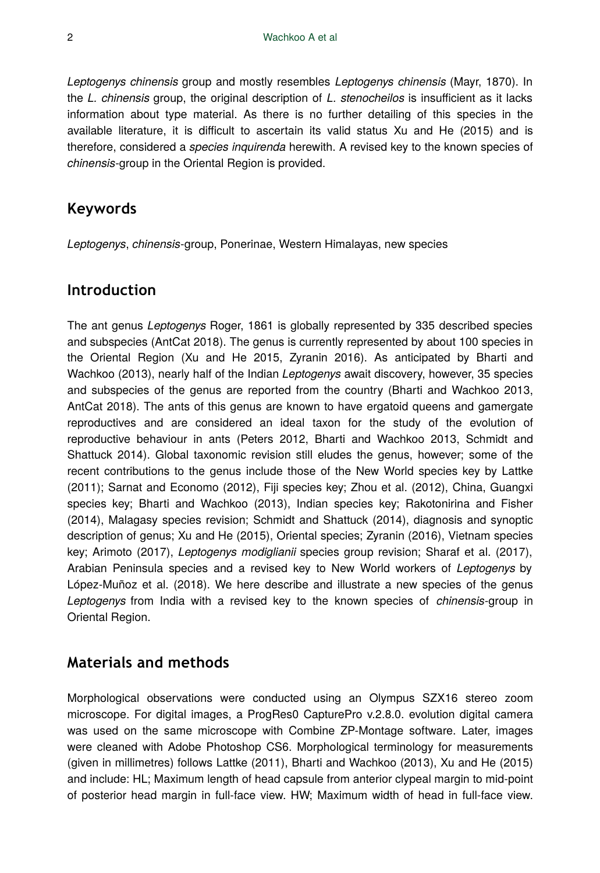*Leptogenys chinensis* group and mostly resembles *Leptogenys chinensis* (Mayr, 1870). In the *L. chinensis* group, the original description of *L. stenocheilos* is insufficient as it lacks information about type material. As there is no further detailing of this species in the available literature, it is difficult to ascertain its valid status Xu and He (2015) and is therefore, considered a *species inquirenda* herewith. A revised key to the known species of *chinensis*-group in the Oriental Region is provided.

### **Keywords**

*Leptogenys*, *chinensis*-group, Ponerinae, Western Himalayas, new species

## **Introduction**

The ant genus *Leptogenys* Roger, 1861 is globally represented by 335 described species and subspecies (AntCat 2018). The genus is currently represented by about 100 species in the Oriental Region (Xu and He 2015, Zyranin 2016). As anticipated by Bharti and Wachkoo (2013), nearly half of the Indian *Leptogenys* await discovery, however, 35 species and subspecies of the genus are reported from the country (Bharti and Wachkoo 2013, AntCat 2018). The ants of this genus are known to have ergatoid queens and gamergate reproductives and are considered an ideal taxon for the study of the evolution of reproductive behaviour in ants (Peters 2012, Bharti and Wachkoo 2013, Schmidt and Shattuck 2014). Global taxonomic revision still eludes the genus, however; some of the recent contributions to the genus include those of the New World species key by Lattke (2011); Sarnat and Economo (2012), Fiji species key; Zhou et al. (2012), China, Guangxi species key; Bharti and Wachkoo (2013), Indian species key; Rakotonirina and Fisher (2014), Malagasy species revision; Schmidt and Shattuck (2014), diagnosis and synoptic description of genus; Xu and He (2015), Oriental species; Zyranin (2016), Vietnam species key; Arimoto (2017), *Leptogenys modiglianii* species group revision; Sharaf et al. (2017), Arabian Peninsula species and a revised key to New World workers of *Leptogenys* by López-Muñoz et al. (2018). We here describe and illustrate a new species of the genus *Leptogenys* from India with a revised key to the known species of *chinensis*-group in Oriental Region.

### **Materials and methods**

Morphological observations were conducted using an Olympus SZX16 stereo zoom microscope. For digital images, a ProgRes0 CapturePro v.2.8.0. evolution digital camera was used on the same microscope with Combine ZP-Montage software. Later, images were cleaned with Adobe Photoshop CS6. Morphological terminology for measurements (given in millimetres) follows Lattke (2011), Bharti and Wachkoo (2013), Xu and He (2015) and include: HL; Maximum length of head capsule from anterior clypeal margin to mid-point of posterior head margin in full-face view. HW; Maximum width of head in full-face view.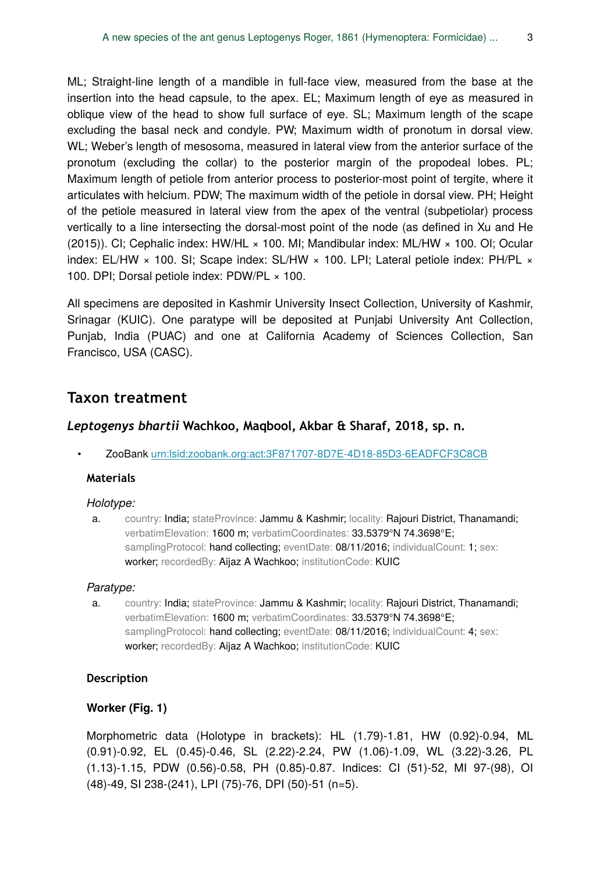ML; Straight-line length of a mandible in full-face view, measured from the base at the insertion into the head capsule, to the apex. EL; Maximum length of eye as measured in oblique view of the head to show full surface of eye. SL; Maximum length of the scape excluding the basal neck and condyle. PW; Maximum width of pronotum in dorsal view. WL; Weber's length of mesosoma, measured in lateral view from the anterior surface of the pronotum (excluding the collar) to the posterior margin of the propodeal lobes. PL; Maximum length of petiole from anterior process to posterior-most point of tergite, where it articulates with helcium. PDW; The maximum width of the petiole in dorsal view. PH; Height of the petiole measured in lateral view from the apex of the ventral (subpetiolar) process vertically to a line intersecting the dorsal-most point of the node (as defined in Xu and He (2015)). CI; Cephalic index: HW/HL × 100. MI; Mandibular index: ML/HW × 100. OI; Ocular index: EL/HW  $\times$  100. SI; Scape index: SL/HW  $\times$  100. LPI; Lateral petiole index: PH/PL  $\times$ 100. DPI; Dorsal petiole index: PDW/PL × 100.

All specimens are deposited in Kashmir University Insect Collection, University of Kashmir, Srinagar (KUIC). One paratype will be deposited at Punjabi University Ant Collection, Punjab, India (PUAC) and one at California Academy of Sciences Collection, San Francisco, USA (CASC).

## **Taxon treatment**

#### *Leptogenys bhartii* **Wachkoo, Maqbool, Akbar & Sharaf, 2018, sp. n.**

• ZooBank [urn:lsid:zoobank.org:act:3F871707-8D7E-4D18-85D3-6EADFCF3C8CB](http://zoobank.org/3F871707-8D7E-4D18-85D3-6EADFCF3C8CB)

#### **Materials**

#### *Holotype:*

a. country: India; stateProvince: Jammu & Kashmir; locality: Rajouri District, Thanamandi; verbatimElevation: 1600 m; verbatimCoordinates: 33.5379°N 74.3698°E; samplingProtocol: hand collecting; eventDate: 08/11/2016; individualCount: 1; sex: worker; recordedBy: Aijaz A Wachkoo; institutionCode: KUIC

#### *Paratype:*

a. country: India; stateProvince: Jammu & Kashmir; locality: Rajouri District, Thanamandi; verbatimElevation: 1600 m; verbatimCoordinates: 33.5379°N 74.3698°E; samplingProtocol: hand collecting; eventDate: 08/11/2016; individualCount: 4; sex: worker; recordedBy: Aijaz A Wachkoo; institutionCode: KUIC

#### **Description**

#### **Worker (Fig. 1)**

Morphometric data (Holotype in brackets): HL (1.79)-1.81, HW (0.92)-0.94, ML (0.91)-0.92, EL (0.45)-0.46, SL (2.22)-2.24, PW (1.06)-1.09, WL (3.22)-3.26, PL (1.13)-1.15, PDW (0.56)-0.58, PH (0.85)-0.87. Indices: CI (51)-52, MI 97-(98), OI (48)-49, SI 238-(241), LPI (75)-76, DPI (50)-51 (n=5).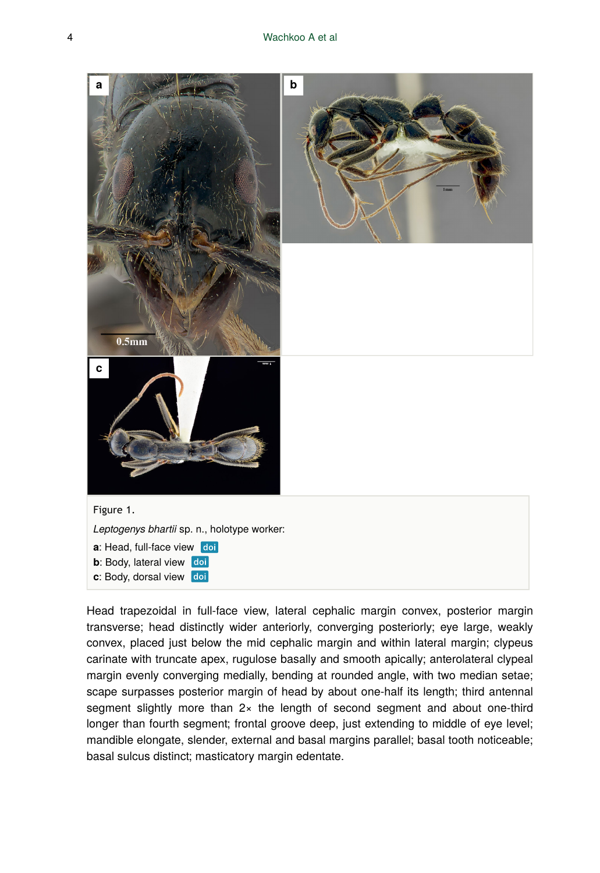

Head trapezoidal in full-face view, lateral cephalic margin convex, posterior margin transverse; head distinctly wider anteriorly, converging posteriorly; eye large, weakly convex, placed just below the mid cephalic margin and within lateral margin; clypeus carinate with truncate apex, rugulose basally and smooth apically; anterolateral clypeal margin evenly converging medially, bending at rounded angle, with two median setae; scape surpasses posterior margin of head by about one-half its length; third antennal segment slightly more than  $2 \times$  the length of second segment and about one-third longer than fourth segment; frontal groove deep, just extending to middle of eye level; mandible elongate, slender, external and basal margins parallel; basal tooth noticeable; basal sulcus distinct; masticatory margin edentate.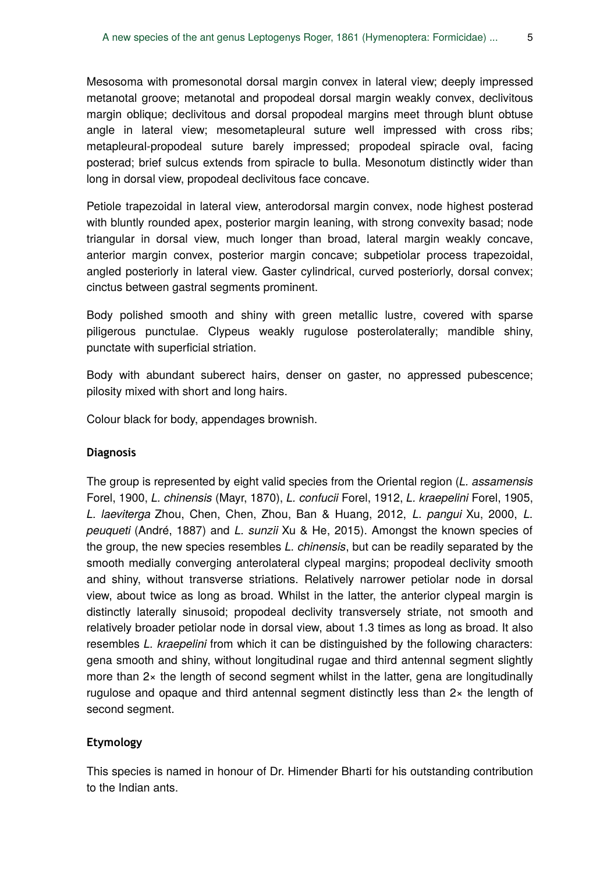Mesosoma with promesonotal dorsal margin convex in lateral view; deeply impressed metanotal groove; metanotal and propodeal dorsal margin weakly convex, declivitous margin oblique; declivitous and dorsal propodeal margins meet through blunt obtuse angle in lateral view; mesometapleural suture well impressed with cross ribs; metapleural-propodeal suture barely impressed; propodeal spiracle oval, facing posterad; brief sulcus extends from spiracle to bulla. Mesonotum distinctly wider than long in dorsal view, propodeal declivitous face concave.

Petiole trapezoidal in lateral view, anterodorsal margin convex, node highest posterad with bluntly rounded apex, posterior margin leaning, with strong convexity basad; node triangular in dorsal view, much longer than broad, lateral margin weakly concave, anterior margin convex, posterior margin concave; subpetiolar process trapezoidal, angled posteriorly in lateral view. Gaster cylindrical, curved posteriorly, dorsal convex; cinctus between gastral segments prominent.

Body polished smooth and shiny with green metallic lustre, covered with sparse piligerous punctulae. Clypeus weakly rugulose posterolaterally; mandible shiny, punctate with superficial striation.

Body with abundant suberect hairs, denser on gaster, no appressed pubescence; pilosity mixed with short and long hairs.

Colour black for body, appendages brownish.

#### **Diagnosis**

The group is represented by eight valid species from the Oriental region (*L. assamensis* Forel, 1900, *L. chinensis* (Mayr, 1870), *L. confucii* Forel, 1912, *L. kraepelini* Forel, 1905, *L. laeviterga* Zhou, Chen, Chen, Zhou, Ban & Huang, 2012, *L. pangui* Xu, 2000, *L. peuqueti* (André, 1887) and *L. sunzii* Xu & He, 2015). Amongst the known species of the group, the new species resembles *L. chinensis*, but can be readily separated by the smooth medially converging anterolateral clypeal margins; propodeal declivity smooth and shiny, without transverse striations. Relatively narrower petiolar node in dorsal view, about twice as long as broad. Whilst in the latter, the anterior clypeal margin is distinctly laterally sinusoid; propodeal declivity transversely striate, not smooth and relatively broader petiolar node in dorsal view, about 1.3 times as long as broad. It also resembles *L. kraepelini* from which it can be distinguished by the following characters: gena smooth and shiny, without longitudinal rugae and third antennal segment slightly more than  $2 \times$  the length of second segment whilst in the latter, gena are longitudinally rugulose and opaque and third antennal segment distinctly less than 2× the length of second segment.

#### **Etymology**

This species is named in honour of Dr. Himender Bharti for his outstanding contribution to the Indian ants.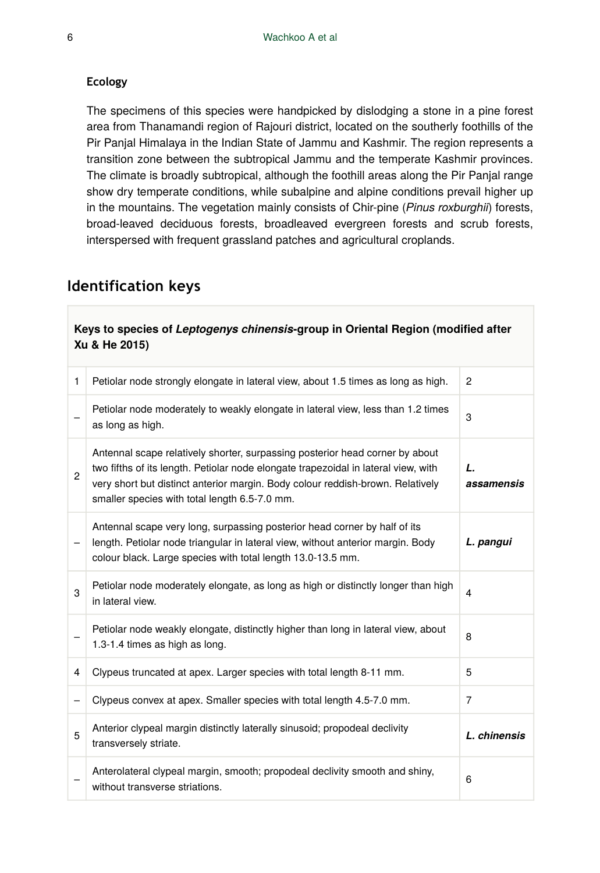#### **Ecology**

The specimens of this species were handpicked by dislodging a stone in a pine forest area from Thanamandi region of Rajouri district, located on the southerly foothills of the Pir Panjal Himalaya in the Indian State of Jammu and Kashmir. The region represents a transition zone between the subtropical Jammu and the temperate Kashmir provinces. The climate is broadly subtropical, although the foothill areas along the Pir Panjal range show dry temperate conditions, while subalpine and alpine conditions prevail higher up in the mountains. The vegetation mainly consists of Chir-pine (*Pinus roxburghii*) forests, broad-leaved deciduous forests, broadleaved evergreen forests and scrub forests, interspersed with frequent grassland patches and agricultural croplands.

# **Identification keys**

| Keys to species of Leptogenys chinensis-group in Oriental Region (modified after<br>Xu & He 2015) |                                                                                                                                                                                                                                                                                                       |                  |  |
|---------------------------------------------------------------------------------------------------|-------------------------------------------------------------------------------------------------------------------------------------------------------------------------------------------------------------------------------------------------------------------------------------------------------|------------------|--|
| 1                                                                                                 | Petiolar node strongly elongate in lateral view, about 1.5 times as long as high.                                                                                                                                                                                                                     | 2                |  |
|                                                                                                   | Petiolar node moderately to weakly elongate in lateral view, less than 1.2 times<br>as long as high.                                                                                                                                                                                                  | 3                |  |
| $\overline{2}$                                                                                    | Antennal scape relatively shorter, surpassing posterior head corner by about<br>two fifths of its length. Petiolar node elongate trapezoidal in lateral view, with<br>very short but distinct anterior margin. Body colour reddish-brown. Relatively<br>smaller species with total length 6.5-7.0 mm. | L.<br>assamensis |  |
|                                                                                                   | Antennal scape very long, surpassing posterior head corner by half of its<br>length. Petiolar node triangular in lateral view, without anterior margin. Body<br>colour black. Large species with total length 13.0-13.5 mm.                                                                           | L. pangui        |  |
| 3                                                                                                 | Petiolar node moderately elongate, as long as high or distinctly longer than high<br>in lateral view.                                                                                                                                                                                                 | 4                |  |
|                                                                                                   | Petiolar node weakly elongate, distinctly higher than long in lateral view, about<br>1.3-1.4 times as high as long.                                                                                                                                                                                   | 8                |  |
| 4                                                                                                 | Clypeus truncated at apex. Larger species with total length 8-11 mm.                                                                                                                                                                                                                                  | 5                |  |
|                                                                                                   | Clypeus convex at apex. Smaller species with total length 4.5-7.0 mm.                                                                                                                                                                                                                                 | $\overline{7}$   |  |
| 5                                                                                                 | Anterior clypeal margin distinctly laterally sinusoid; propodeal declivity<br>transversely striate.                                                                                                                                                                                                   | L. chinensis     |  |
|                                                                                                   | Anterolateral clypeal margin, smooth; propodeal declivity smooth and shiny,<br>without transverse striations.                                                                                                                                                                                         | 6                |  |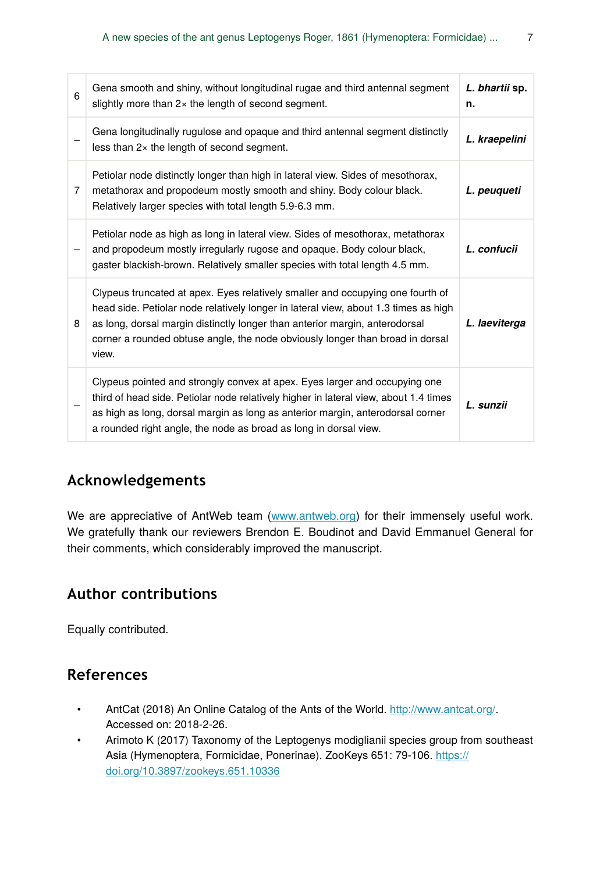| 6 | Gena smooth and shiny, without longitudinal rugae and third antennal segment<br>slightly more than 2x the length of second segment.                                                                                                                                                                                                            | L. bhartii sp.<br>n. |
|---|------------------------------------------------------------------------------------------------------------------------------------------------------------------------------------------------------------------------------------------------------------------------------------------------------------------------------------------------|----------------------|
|   | Gena longitudinally rugulose and opaque and third antennal segment distinctly<br>less than 2x the length of second segment.                                                                                                                                                                                                                    | L. kraepelini        |
| 7 | Petiolar node distinctly longer than high in lateral view. Sides of mesothorax,<br>metathorax and propodeum mostly smooth and shiny. Body colour black.<br>Relatively larger species with total length 5.9-6.3 mm.                                                                                                                             | L. peuqueti          |
|   | Petiolar node as high as long in lateral view. Sides of mesothorax, metathorax<br>and propodeum mostly irregularly rugose and opaque. Body colour black,<br>gaster blackish-brown. Relatively smaller species with total length 4.5 mm.                                                                                                        | L. confucii          |
| 8 | Clypeus truncated at apex. Eyes relatively smaller and occupying one fourth of<br>head side. Petiolar node relatively longer in lateral view, about 1.3 times as high<br>as long, dorsal margin distinctly longer than anterior margin, anterodorsal<br>corner a rounded obtuse angle, the node obviously longer than broad in dorsal<br>view. | L. laeviterga        |
|   | Clypeus pointed and strongly convex at apex. Eyes larger and occupying one<br>third of head side. Petiolar node relatively higher in lateral view, about 1.4 times<br>as high as long, dorsal margin as long as anterior margin, anterodorsal corner<br>a rounded right angle, the node as broad as long in dorsal view.                       | L. sunzii            |

# **Acknowledgements**

We are appreciative of AntWeb team [\(www.antweb.org](http://www.antweb.org)) for their immensely useful work. We gratefully thank our reviewers Brendon E. Boudinot and David Emmanuel General for their comments, which considerably improved the manuscript.

# **Author contributions**

Equally contributed.

# **References**

- AntCat (2018) An Online Catalog of the Ants of the World. [http://www.antcat.org/.](http://www.antcat.org/) Accessed on: 2018-2-26.
- Arimoto K (2017) Taxonomy of the Leptogenys modiglianii species group from southeast Asia (Hymenoptera, Formicidae, Ponerinae). ZooKeys 651: 79-106. [https://](https://doi.org/10.3897/zookeys.651.10336) [doi.org/10.3897/zookeys.651.10336](https://doi.org/10.3897/zookeys.651.10336)